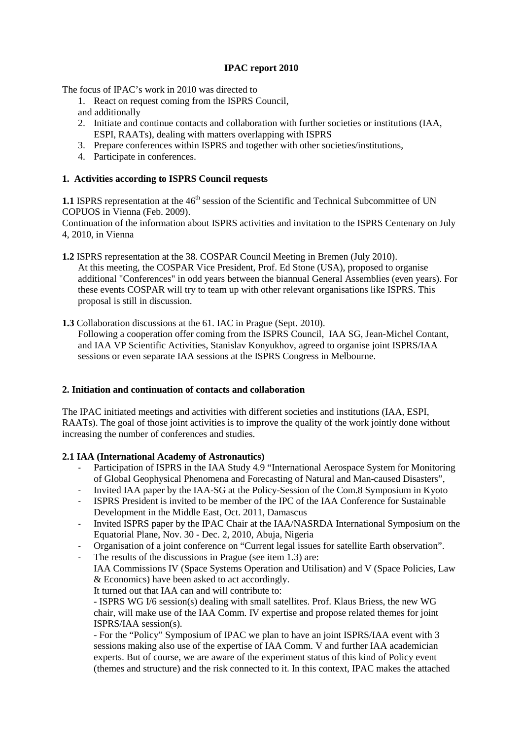# **IPAC report 2010**

The focus of IPAC's work in 2010 was directed to

- 1. React on request coming from the ISPRS Council, and additionally
- 2. Initiate and continue contacts and collaboration with further societies or institutions (IAA, ESPI, RAATs), dealing with matters overlapping with ISPRS
- 3. Prepare conferences within ISPRS and together with other societies/institutions,
- 4. Participate in conferences.

## **1. Activities according to ISPRS Council requests**

**1.1** ISPRS representation at the 46<sup>th</sup> session of the Scientific and Technical Subcommittee of UN COPUOS in Vienna (Feb. 2009).

Continuation of the information about ISPRS activities and invitation to the ISPRS Centenary on July 4, 2010, in Vienna

**1.2** ISPRS representation at the 38. COSPAR Council Meeting in Bremen (July 2010). At this meeting, the COSPAR Vice President, Prof. Ed Stone (USA), proposed to organise additional "Conferences" in odd years between the biannual General Assemblies (even years). For these events COSPAR will try to team up with other relevant organisations like ISPRS. This proposal is still in discussion.

**1.3** Collaboration discussions at the 61. IAC in Prague (Sept. 2010).

Following a cooperation offer coming from the ISPRS Council, IAA SG, Jean-Michel Contant, and IAA VP Scientific Activities, Stanislav Konyukhov, agreed to organise joint ISPRS/IAA sessions or even separate IAA sessions at the ISPRS Congress in Melbourne.

## **2. Initiation and continuation of contacts and collaboration**

The IPAC initiated meetings and activities with different societies and institutions (IAA, ESPI, RAATs). The goal of those joint activities is to improve the quality of the work jointly done without increasing the number of conferences and studies.

## **2.1 IAA (International Academy of Astronautics)**

- Participation of ISPRS in the IAA Study 4.9 "International Aerospace System for Monitoring of Global Geophysical Phenomena and Forecasting of Natural and Man-caused Disasters",
- Invited IAA paper by the IAA-SG at the Policy-Session of the Com.8 Symposium in Kyoto
- ISPRS President is invited to be member of the IPC of the IAA Conference for Sustainable Development in the Middle East, Oct. 2011, Damascus
- Invited ISPRS paper by the IPAC Chair at the IAA/NASRDA International Symposium on the Equatorial Plane, Nov. 30 - Dec. 2, 2010, Abuja, Nigeria
- Organisation of a joint conference on "Current legal issues for satellite Earth observation".
- The results of the discussions in Prague (see item 1.3) are:

IAA Commissions IV (Space Systems Operation and Utilisation) and V (Space Policies, Law & Economics) have been asked to act accordingly.

It turned out that IAA can and will contribute to:

- ISPRS WG I/6 session(s) dealing with small satellites. Prof. Klaus Briess, the new WG chair, will make use of the IAA Comm. IV expertise and propose related themes for joint ISPRS/IAA session(s).

- For the "Policy" Symposium of IPAC we plan to have an joint ISPRS/IAA event with 3 sessions making also use of the expertise of IAA Comm. V and further IAA academician experts. But of course, we are aware of the experiment status of this kind of Policy event (themes and structure) and the risk connected to it. In this context, IPAC makes the attached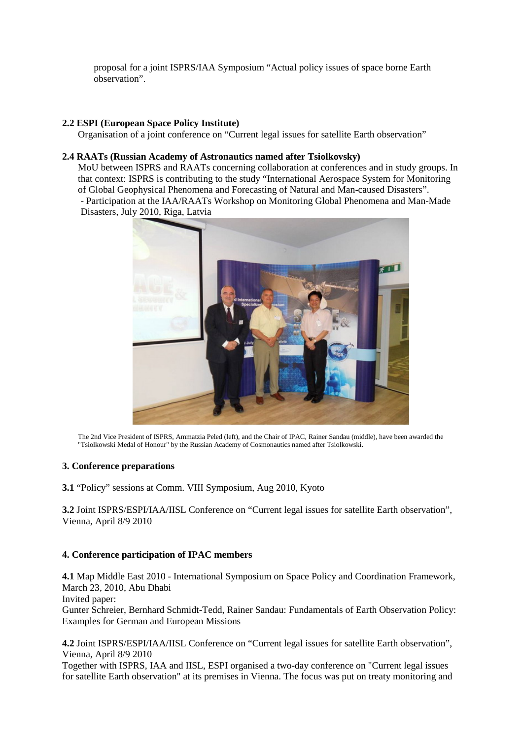proposal for a joint ISPRS/IAA Symposium "Actual policy issues of space borne Earth observation".

## **2.2 ESPI (European Space Policy Institute)**

Organisation of a joint conference on "Current legal issues for satellite Earth observation"

## **2.4 RAATs (Russian Academy of Astronautics named after Tsiolkovsky)**

MoU between ISPRS and RAATs concerning collaboration at conferences and in study groups. In that context: ISPRS is contributing to the study "International Aerospace System for Monitoring of Global Geophysical Phenomena and Forecasting of Natural and Man-caused Disasters". - Participation at the IAA/RAATs Workshop on Monitoring Global Phenomena and Man-Made Disasters, July 2010, Riga, Latvia



The 2nd Vice President of ISPRS, Ammatzia Peled (left), and the Chair of IPAC, Rainer Sandau (middle), have been awarded the "Tsiolkowski Medal of Honour" by the Russian Academy of Cosmonautics named after Tsiolkowski.

## **3. Conference preparations**

**3.1** "Policy" sessions at Comm. VIII Symposium, Aug 2010, Kyoto

**3.2** Joint ISPRS/ESPI/IAA/IISL Conference on "Current legal issues for satellite Earth observation", Vienna, April 8/9 2010

## **4. Conference participation of IPAC members**

**4.1** Map Middle East 2010 - International Symposium on Space Policy and Coordination Framework, March 23, 2010, Abu Dhabi Invited paper: Gunter Schreier, Bernhard Schmidt-Tedd, Rainer Sandau: Fundamentals of Earth Observation Policy: Examples for German and European Missions

**4.2** Joint ISPRS/ESPI/IAA/IISL Conference on "Current legal issues for satellite Earth observation", Vienna, April 8/9 2010

Together with ISPRS, IAA and IISL, ESPI organised a two-day conference on "Current legal issues for satellite Earth observation" at its premises in Vienna. The focus was put on treaty monitoring and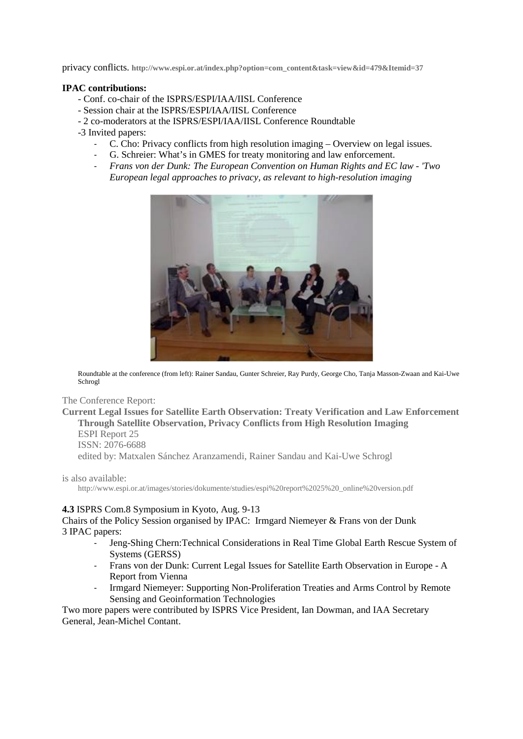privacy conflicts. **http://www.espi.or.at/index.php?option=com\_content&task=view&id=479&Itemid=37**

#### **IPAC contributions:**

- Conf. co-chair of the ISPRS/ESPI/IAA/IISL Conference
- Session chair at the ISPRS/ESPI/IAA/IISL Conference
- 2 co-moderators at the ISPRS/ESPI/IAA/IISL Conference Roundtable
- -3 Invited papers:
	- C. Cho: Privacy conflicts from high resolution imaging Overview on legal issues.
	- G. Schreier: What's in GMES for treaty monitoring and law enforcement.
	- *Frans von der Dunk: The European Convention on Human Rights and EC law - 'Two European legal approaches to privacy, as relevant to high-resolution imaging*



Roundtable at the conference (from left): Rainer Sandau, Gunter Schreier, Ray Purdy, George Cho, Tanja Masson-Zwaan and Kai-Uwe Schrogl

The Conference Report:

**Current Legal Issues for Satellite Earth Observation: Treaty Verification and Law Enforcement Through Satellite Observation, Privacy Conflicts from High Resolution Imaging** ESPI Report 25 ISSN: 2076-6688 edited by: Matxalen Sánchez Aranzamendi, Rainer Sandau and Kai-Uwe Schrogl

is also available:

http://www.espi.or.at/images/stories/dokumente/studies/espi%20report%2025%20\_online%20version.pdf

#### **4.3** ISPRS Com.8 Symposium in Kyoto, Aug. 9-13

Chairs of the Policy Session organised by IPAC: Irmgard Niemeyer & Frans von der Dunk 3 IPAC papers:

- Jeng-Shing Chern:Technical Considerations in Real Time Global Earth Rescue System of Systems (GERSS)
- Frans von der Dunk: Current Legal Issues for Satellite Earth Observation in Europe A Report from Vienna
- Irmgard Niemeyer: Supporting Non-Proliferation Treaties and Arms Control by Remote Sensing and Geoinformation Technologies

Two more papers were contributed by ISPRS Vice President, Ian Dowman, and IAA Secretary General, Jean-Michel Contant.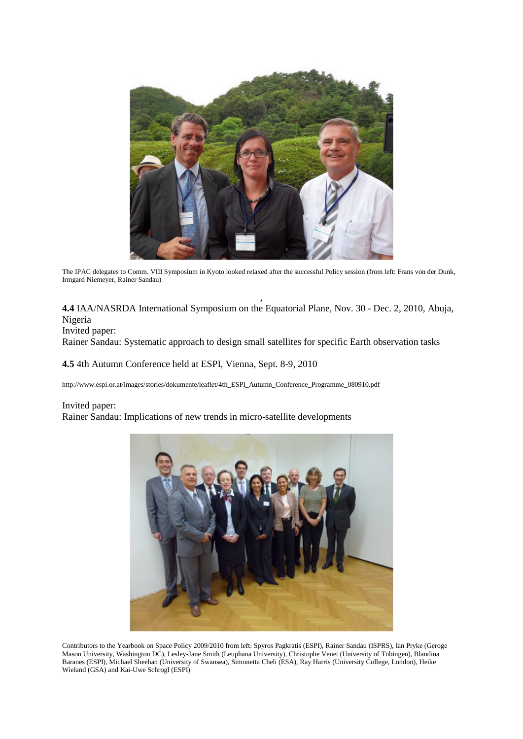

The IPAC delegates to Comm. VIII Symposium in Kyoto looked relaxed after the successful Policy session (from left: Frans von der Dunk, Irmgard Niemeyer, Rainer Sandau)

, **4.4** IAA/NASRDA International Symposium on the Equatorial Plane, Nov. 30 - Dec. 2, 2010, Abuja, Nigeria

Invited paper:

Rainer Sandau: Systematic approach to design small satellites for specific Earth observation tasks

**4.5** 4th Autumn Conference held at ESPI, Vienna, Sept. 8-9, 2010

http://www.espi.or.at/images/stories/dokumente/leaflet/4th\_ESPI\_Autumn\_Conference\_Programme\_080910.pdf

#### Invited paper:

Rainer Sandau: Implications of new trends in micro-satellite developments



Contributors to the Yearbook on Space Policy 2009/2010 from left: Spyros Pagkratis (ESPI), Rainer Sandau (ISPRS), Ian Pryke (Geroge Mason University, Washington DC), Lesley-Jane Smith (Leuphana University), Christophe Venet (University of Tübingen), Blandina Baranes (ESPI), Michael Sheehan (University of Swansea), Simonetta Cheli (ESA), Ray Harris (University College, London), Heike Wieland (GSA) and Kai-Uwe Schrogl (ESPI)